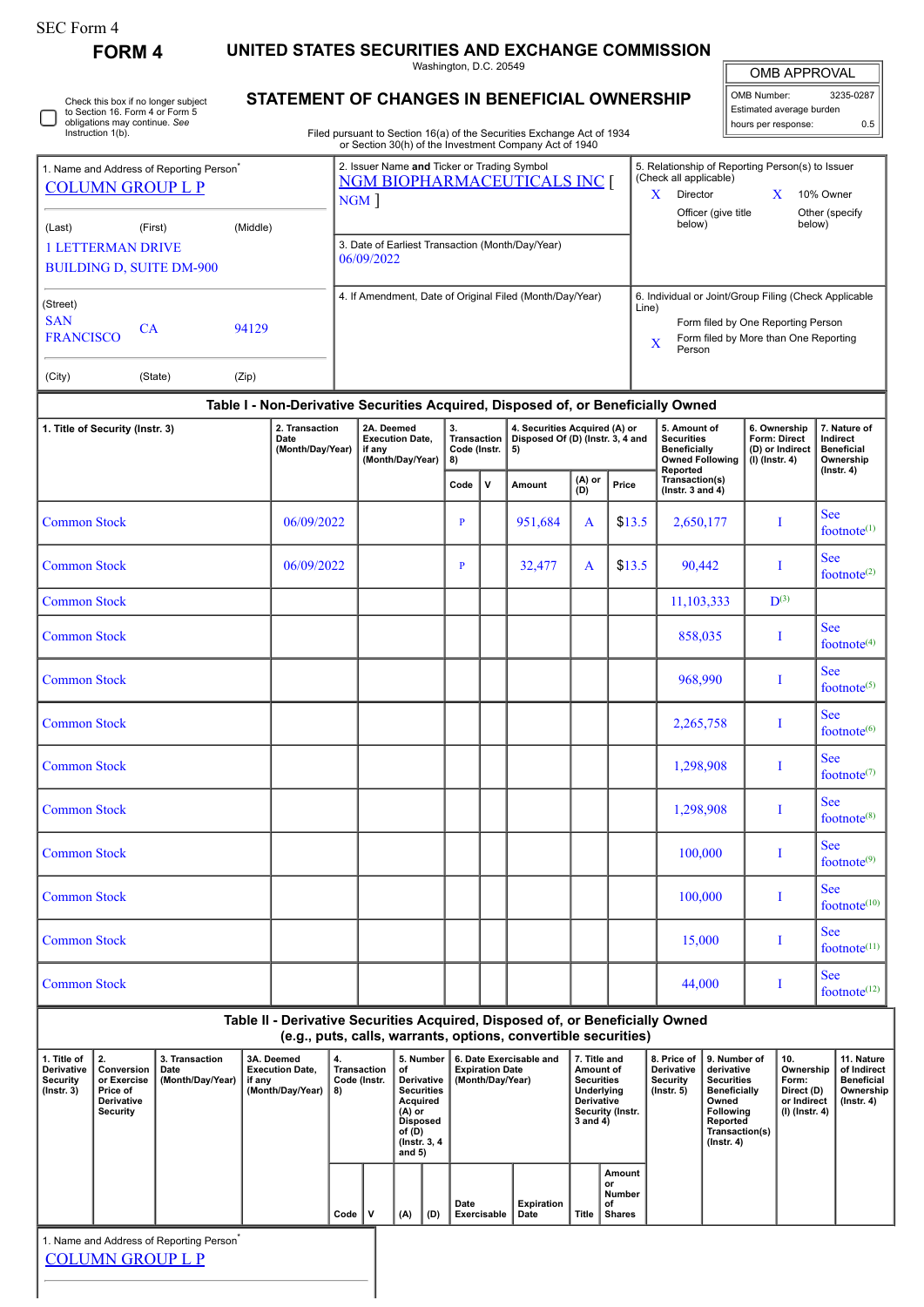| <b>SEC Form 4</b>                                                               | <b>FORM4</b>                                              |                                              |            |                                                                                       |             |                                                |                                                                |      |                                                                   | UNITED STATES SECURITIES AND EXCHANGE COMMISSION                                                                                                |                                                                                          |                                         |                                                                            |                                                                                 |                                                        |                                                                           |
|---------------------------------------------------------------------------------|-----------------------------------------------------------|----------------------------------------------|------------|---------------------------------------------------------------------------------------|-------------|------------------------------------------------|----------------------------------------------------------------|------|-------------------------------------------------------------------|-------------------------------------------------------------------------------------------------------------------------------------------------|------------------------------------------------------------------------------------------|-----------------------------------------|----------------------------------------------------------------------------|---------------------------------------------------------------------------------|--------------------------------------------------------|---------------------------------------------------------------------------|
|                                                                                 |                                                           |                                              |            |                                                                                       |             |                                                | Washington, D.C. 20549                                         |      |                                                                   |                                                                                                                                                 |                                                                                          |                                         |                                                                            |                                                                                 | <b>OMB APPROVAL</b>                                    |                                                                           |
| Check this box if no longer subject<br>to Section 16. Form 4 or Form 5          |                                                           | STATEMENT OF CHANGES IN BENEFICIAL OWNERSHIP |            |                                                                                       |             |                                                |                                                                |      |                                                                   |                                                                                                                                                 |                                                                                          | OMB Number:<br>Estimated average burden | 3235-0287                                                                  |                                                                                 |                                                        |                                                                           |
|                                                                                 | obligations may continue. See<br>Instruction 1(b).        |                                              |            |                                                                                       |             |                                                |                                                                |      |                                                                   | Filed pursuant to Section 16(a) of the Securities Exchange Act of 1934                                                                          |                                                                                          |                                         |                                                                            |                                                                                 | hours per response:                                    | 0.5                                                                       |
|                                                                                 |                                                           |                                              |            |                                                                                       |             | 2. Issuer Name and Ticker or Trading Symbol    |                                                                |      |                                                                   | or Section 30(h) of the Investment Company Act of 1940                                                                                          |                                                                                          |                                         |                                                                            |                                                                                 | 5. Relationship of Reporting Person(s) to Issuer       |                                                                           |
| 1. Name and Address of Reporting Person <sup>®</sup><br><b>COLUMN GROUP L P</b> |                                                           |                                              |            | (Check all applicable)<br><b>NGM BIOPHARMACEUTICALS INC [</b><br>Director<br>X<br>NGM |             |                                                |                                                                |      |                                                                   |                                                                                                                                                 |                                                                                          | X                                       | 10% Owner                                                                  |                                                                                 |                                                        |                                                                           |
| (Middle)<br>(Last)<br>(First)                                                   |                                                           |                                              |            | Officer (give title<br>below)                                                         |             |                                                |                                                                |      |                                                                   |                                                                                                                                                 |                                                                                          |                                         | Other (specify<br>below)                                                   |                                                                                 |                                                        |                                                                           |
| <b>1 LETTERMAN DRIVE</b>                                                        |                                                           |                                              |            | 3. Date of Earliest Transaction (Month/Day/Year)<br>06/09/2022                        |             |                                                |                                                                |      |                                                                   |                                                                                                                                                 |                                                                                          |                                         |                                                                            |                                                                                 |                                                        |                                                                           |
|                                                                                 |                                                           | <b>BUILDING D, SUITE DM-900</b>              |            |                                                                                       |             |                                                |                                                                |      |                                                                   |                                                                                                                                                 |                                                                                          |                                         |                                                                            |                                                                                 |                                                        |                                                                           |
| (Street)<br><b>SAN</b>                                                          |                                                           |                                              |            |                                                                                       |             |                                                |                                                                |      |                                                                   | 4. If Amendment, Date of Original Filed (Month/Day/Year)                                                                                        |                                                                                          | Line)                                   |                                                                            |                                                                                 | 6. Individual or Joint/Group Filing (Check Applicable  |                                                                           |
| 94129<br>CA<br><b>FRANCISCO</b>                                                 |                                                           |                                              |            |                                                                                       | X<br>Person |                                                |                                                                |      |                                                                   |                                                                                                                                                 |                                                                                          |                                         |                                                                            | Form filed by One Reporting Person<br>Form filed by More than One Reporting     |                                                        |                                                                           |
| (City)                                                                          | (State)                                                   |                                              | (Zip)      |                                                                                       |             |                                                |                                                                |      |                                                                   |                                                                                                                                                 |                                                                                          |                                         |                                                                            |                                                                                 |                                                        |                                                                           |
|                                                                                 |                                                           |                                              |            |                                                                                       |             |                                                |                                                                |      |                                                                   | Table I - Non-Derivative Securities Acquired, Disposed of, or Beneficially Owned                                                                |                                                                                          |                                         |                                                                            |                                                                                 |                                                        |                                                                           |
| 1. Title of Security (Instr. 3)                                                 |                                                           | 2. Transaction<br>Date<br>(Month/Day/Year)   |            | 2A. Deemed<br><b>Execution Date,</b><br>if any<br>(Month/Day/Year)                    |             | 3.<br><b>Transaction</b><br>Code (Instr.<br>8) |                                                                | 5)   | 4. Securities Acquired (A) or<br>Disposed Of (D) (Instr. 3, 4 and |                                                                                                                                                 | 5. Amount of<br><b>Securities</b><br><b>Beneficially</b><br><b>Owned Following</b>       |                                         | 6. Ownership<br><b>Form: Direct</b><br>(D) or Indirect<br>$(I)$ (Instr. 4) | 7. Nature of<br>Indirect<br><b>Beneficial</b><br>Ownership                      |                                                        |                                                                           |
|                                                                                 |                                                           |                                              |            |                                                                                       |             |                                                |                                                                | Code | $\mathbf v$                                                       | Amount                                                                                                                                          | (A) or<br>(D)                                                                            | Price                                   | Reported<br>Transaction(s)<br>( $lnstr. 3 and 4$ )                         |                                                                                 |                                                        | $($ lnstr. 4 $)$                                                          |
| <b>Common Stock</b>                                                             |                                                           |                                              | 06/09/2022 |                                                                                       |             |                                                | P                                                              |      | 951,684                                                           | A                                                                                                                                               | \$13.5                                                                                   | 2,650,177                               |                                                                            | I                                                                               | <b>See</b><br>footnote $(1)$                           |                                                                           |
| <b>Common Stock</b>                                                             |                                                           |                                              | 06/09/2022 |                                                                                       |             |                                                | P                                                              |      | 32,477                                                            | A                                                                                                                                               | \$13.5                                                                                   | 90,442                                  |                                                                            | I                                                                               | <b>See</b><br>footnote <sup><math>(2)</math></sup>     |                                                                           |
| <b>Common Stock</b>                                                             |                                                           |                                              |            |                                                                                       |             |                                                |                                                                |      |                                                                   |                                                                                                                                                 |                                                                                          | 11,103,333                              |                                                                            | $\mathbf{D}^{(3)}$                                                              |                                                        |                                                                           |
| <b>Common Stock</b>                                                             |                                                           |                                              |            |                                                                                       |             |                                                |                                                                |      |                                                                   |                                                                                                                                                 |                                                                                          | 858,035                                 |                                                                            | I                                                                               | <b>See</b><br>footnote $(4)$                           |                                                                           |
| <b>Common Stock</b>                                                             |                                                           |                                              |            |                                                                                       |             |                                                |                                                                |      |                                                                   |                                                                                                                                                 |                                                                                          |                                         | 968,990                                                                    |                                                                                 | I                                                      | <b>See</b><br>footnote $(5)$                                              |
| <b>Common Stock</b>                                                             |                                                           |                                              |            |                                                                                       |             |                                                |                                                                |      |                                                                   |                                                                                                                                                 |                                                                                          | 2,265,758                               |                                                                            | Ī                                                                               | See<br>footnote $(6)$                                  |                                                                           |
| <b>Common Stock</b>                                                             |                                                           |                                              |            |                                                                                       |             |                                                |                                                                |      |                                                                   |                                                                                                                                                 |                                                                                          | 1,298,908                               |                                                                            | I                                                                               | <b>See</b><br>footnote $(7)$                           |                                                                           |
| <b>Common Stock</b>                                                             |                                                           |                                              |            |                                                                                       |             |                                                |                                                                |      |                                                                   |                                                                                                                                                 |                                                                                          | 1,298,908                               |                                                                            | I                                                                               | <b>See</b><br>footnote $(8)$                           |                                                                           |
| <b>Common Stock</b>                                                             |                                                           |                                              |            |                                                                                       |             |                                                |                                                                |      |                                                                   |                                                                                                                                                 |                                                                                          |                                         | 100,000                                                                    |                                                                                 | I                                                      | <b>See</b><br>footnote <sup>(9)</sup>                                     |
| <b>Common Stock</b>                                                             |                                                           |                                              |            |                                                                                       |             |                                                |                                                                |      |                                                                   |                                                                                                                                                 |                                                                                          | 100,000                                 |                                                                            | I                                                                               | <b>See</b><br>footnote $(10)$                          |                                                                           |
| <b>Common Stock</b>                                                             |                                                           |                                              |            |                                                                                       |             |                                                |                                                                |      |                                                                   |                                                                                                                                                 |                                                                                          | 15,000                                  |                                                                            | I                                                                               | <b>See</b><br>footnote $(11)$                          |                                                                           |
| <b>Common Stock</b>                                                             |                                                           |                                              |            |                                                                                       |             |                                                |                                                                |      |                                                                   |                                                                                                                                                 | 44,000                                                                                   |                                         | I                                                                          | <b>See</b><br>footnote <sup>(12)</sup>                                          |                                                        |                                                                           |
|                                                                                 |                                                           |                                              |            |                                                                                       |             |                                                |                                                                |      |                                                                   | Table II - Derivative Securities Acquired, Disposed of, or Beneficially Owned<br>(e.g., puts, calls, warrants, options, convertible securities) |                                                                                          |                                         |                                                                            |                                                                                 |                                                        |                                                                           |
| 1. Title of<br>Derivative<br><b>Security</b><br>$($ Instr. 3 $)$                | 2.<br>Conversion<br>or Exercise<br>Price of<br>Derivative | 3. Transaction<br>Date<br>(Month/Day/Year)   | if any     | 3A. Deemed<br><b>Execution Date,</b><br>(Month/Day/Year)                              | 4.<br>8)    | <b>Transaction</b><br>Code (Instr.             | 5. Number<br>of<br>Derivative<br><b>Securities</b><br>Acquired |      | <b>Expiration Date</b>                                            | 6. Date Exercisable and<br>(Month/Day/Year)                                                                                                     | 7. Title and<br>Amount of<br><b>Securities</b><br><b>Underlying</b><br><b>Derivative</b> |                                         | 8. Price of<br>Derivative<br><b>Security</b><br>$($ Instr. 5 $)$           | 9. Number of<br>derivative<br><b>Securities</b><br><b>Beneficially</b><br>Owned | 10.<br>Ownership<br>Form:<br>Direct (D)<br>or Indirect | 11. Nature<br>of Indirect<br><b>Beneficial</b><br>Ownership<br>(Instr. 4) |

| Delivative<br>Security<br>(Instr. 3) | <b>CONVEISION   DATE</b><br>or Exercise  <br>Price of<br><b>Derivative</b><br>Security | <b>EXECUTION DATE,</b><br>$i$ i alisaction $\ v\ $<br>Code (Instr.<br>  (Month/Day/Year)  <br>if anv<br>(Month/Day/Year)<br>8) |  | (A) or<br>of (D)<br>and 5) | <b>EXPITATION DATE</b><br>Derivative I<br>(Month/Day/Year)<br><b>Securities</b><br>Acquired<br>Disposed<br>(Instr. 3, 4) |     |     | AIIIUUIILUI<br><b>Securities</b><br>Underlying<br><b>Derivative</b><br>Security (Instr.<br>3 and 4) |                    | Derivative<br>Security<br>(Instr. 5) | uenvauve<br><b>Securities</b><br>Beneficially<br>Owned<br><b>Following</b><br>Reported<br>Transaction(s)<br>(Instr. 4) | OWNERSHIP   OF INDITECT<br>Form:<br>Direct (D)<br>or Indirect<br>  (I) (Instr. 4) | Beneficial<br>Ownership<br>  (Instr. 4) |  |  |
|--------------------------------------|----------------------------------------------------------------------------------------|--------------------------------------------------------------------------------------------------------------------------------|--|----------------------------|--------------------------------------------------------------------------------------------------------------------------|-----|-----|-----------------------------------------------------------------------------------------------------|--------------------|--------------------------------------|------------------------------------------------------------------------------------------------------------------------|-----------------------------------------------------------------------------------|-----------------------------------------|--|--|
|                                      |                                                                                        |                                                                                                                                |  | Code                       | $\mathbf v$                                                                                                              | (A) | (D) | Date<br>Exercisable                                                                                 | Expiration<br>Date | <b>Title</b>                         | Amount<br>or<br>Number<br>of<br>Shares                                                                                 |                                                                                   |                                         |  |  |

1. Name and Address of Reporting Person<sup>\*</sup>

[COLUMN GROUP L P](http://www.sec.gov/cgi-bin/browse-edgar?action=getcompany&CIK=0001347769)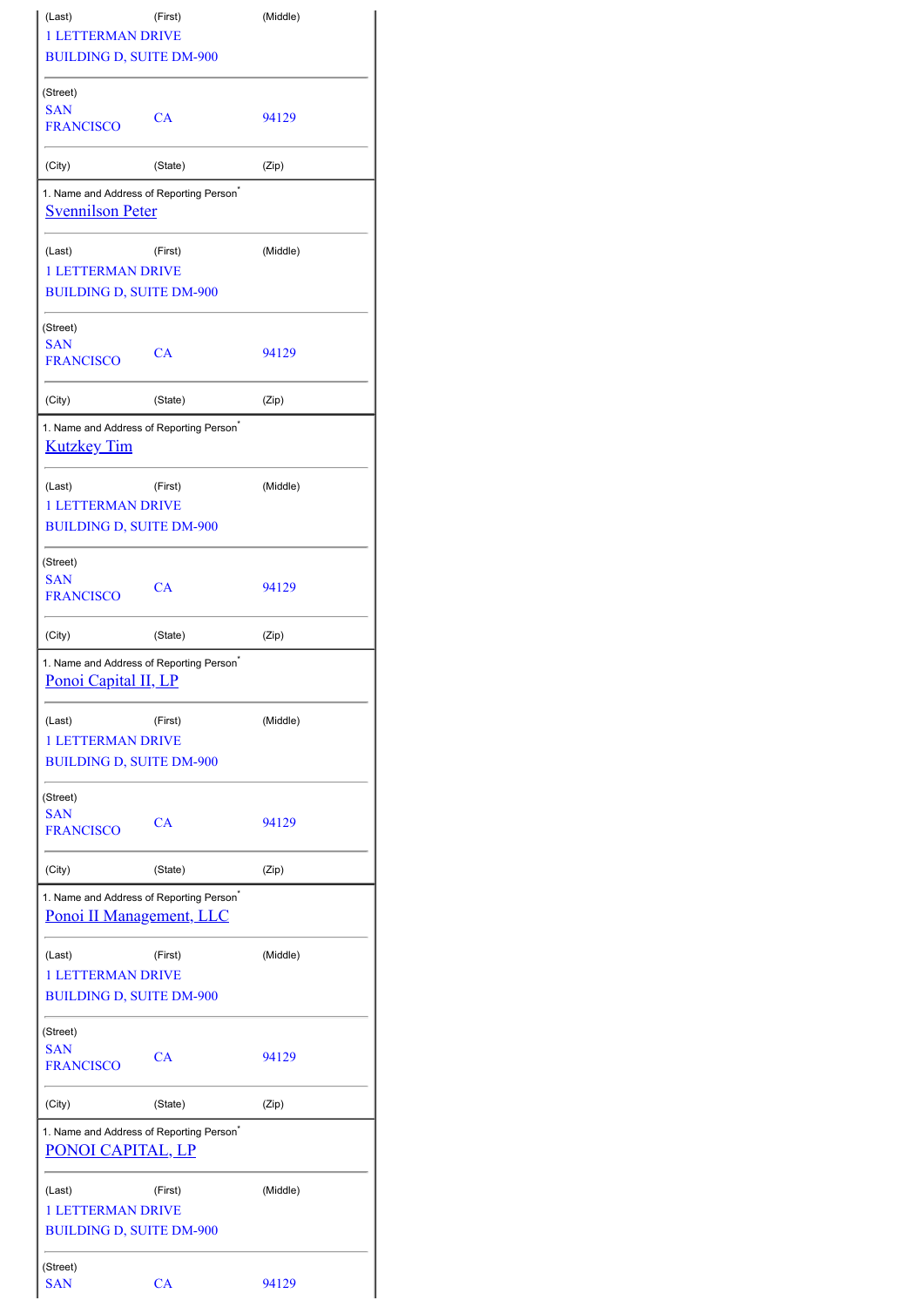| (Last)                                                                           | (First) | (Middle) |
|----------------------------------------------------------------------------------|---------|----------|
| <b>1 LETTERMAN DRIVE</b>                                                         |         |          |
| <b>BUILDING D, SUITE DM-900</b>                                                  |         |          |
| (Street)                                                                         |         |          |
| <b>SAN</b><br><b>FRANCISCO</b>                                                   | CA      | 94129    |
| (City)                                                                           | (State) | (Zip)    |
| 1. Name and Address of Reporting Person <sup>®</sup><br><b>Svennilson Peter</b>  |         |          |
| (Last)<br>1 LETTERMAN DRIVE                                                      | (First) | (Middle) |
| <b>BUILDING D, SUITE DM-900</b>                                                  |         |          |
| (Street)                                                                         |         |          |
| <b>SAN</b><br><b>FRANCISCO</b>                                                   | CA      | 94129    |
| (City)                                                                           | (State) | (Zip)    |
| 1. Name and Address of Reporting Person <sup>*</sup><br><b>Kutzkey Tim</b>       |         |          |
|                                                                                  |         |          |
| (Last)                                                                           | (First) | (Middle) |
| 1 LETTERMAN DRIVE                                                                |         |          |
| <b>BUILDING D, SUITE DM-900</b>                                                  |         |          |
| (Street)                                                                         |         |          |
| <b>SAN</b><br><b>FRANCISCO</b>                                                   | CA      | 94129    |
| (City)                                                                           | (State) | (Zip)    |
|                                                                                  |         |          |
| 1. Name and Address of Reporting Person                                          |         |          |
| Ponoi Capital II, LP                                                             |         |          |
| (Last)                                                                           | (First) | (Middle) |
| <b>1 LETTERMAN DRIVE</b>                                                         |         |          |
| <b>BUILDING D, SUITE DM-900</b>                                                  |         |          |
|                                                                                  |         |          |
| (Street)<br><b>SAN</b>                                                           |         |          |
| <b>FRANCISCO</b>                                                                 | CA      | 94129    |
| (City)                                                                           | (State) | (Zip)    |
| 1. Name and Address of Reporting Person <sup>®</sup><br>Ponoi II Management, LLC |         |          |
| (Last)                                                                           | (First) | (Middle) |
| <b>1 LETTERMAN DRIVE</b>                                                         |         |          |
| <b>BUILDING D, SUITE DM-900</b>                                                  |         |          |
| (Street)                                                                         |         |          |
| <b>SAN</b><br><b>FRANCISCO</b>                                                   | CA      | 94129    |
| (City)                                                                           | (State) | (Zip)    |
| 1. Name and Address of Reporting Person <sup>*</sup><br>PONOI CAPITAL, LP        |         |          |
| (Last)                                                                           | (First) | (Middle) |
| <b>1 LETTERMAN DRIVE</b><br><b>BUILDING D, SUITE DM-900</b>                      |         |          |
| (Street)                                                                         |         |          |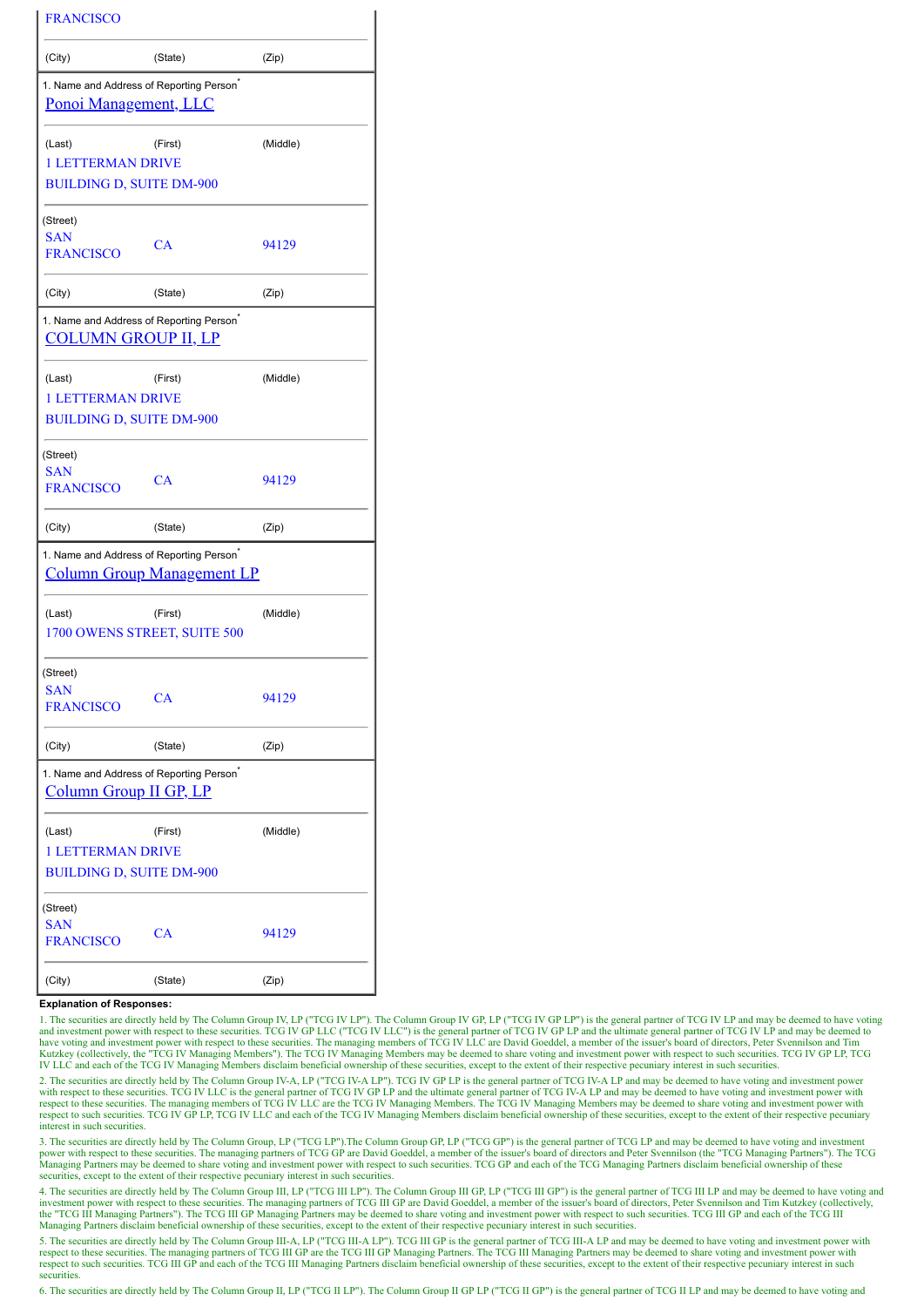| <b>FRANCISCO</b>                                                                     |                                         |          |
|--------------------------------------------------------------------------------------|-----------------------------------------|----------|
| (City)                                                                               | (State)                                 | (Zip)    |
| 1. Name and Address of Reporting Person <sup>®</sup><br><u>Ponoi Management, LLC</u> |                                         |          |
| (Last)<br><b>1 LETTERMAN DRIVE</b><br><b>BUILDING D, SUITE DM-900</b>                | (First)                                 | (Middle) |
| (Street)<br><b>SAN</b><br><b>FRANCISCO</b>                                           | CA                                      | 94129    |
| (City)                                                                               | (State)                                 | (Zip)    |
| 1. Name and Address of Reporting Person <sup>®</sup><br><b>COLUMN GROUP II, LP</b>   |                                         |          |
| (Last)<br><b>1 LETTERMAN DRIVE</b><br><b>BUILDING D, SUITE DM-900</b>                | (First)                                 | (Middle) |
|                                                                                      |                                         |          |
| (Street)<br><b>SAN</b><br><b>FRANCISCO</b>                                           | CA                                      | 94129    |
| (City)                                                                               | (State)                                 | (Zip)    |
| 1. Name and Address of Reporting Person <sup>®</sup>                                 | <b>Column Group Management LP</b>       |          |
| (Last)                                                                               | (First)<br>1700 OWENS STREET, SUITE 500 | (Middle) |
| (Street)<br><b>SAN</b><br><b>FRANCISCO</b>                                           | CA                                      | 94129    |
| (City)                                                                               | (State)                                 | (Zip)    |
| 1. Name and Address of Reporting Person <sup>®</sup><br>Column Group II GP, LP       |                                         |          |
| (Last)<br><b>1 LETTERMAN DRIVE</b><br><b>BUILDING D, SUITE DM-900</b>                | (First)                                 | (Middle) |
| (Street)<br><b>SAN</b><br><b>FRANCISCO</b>                                           | CA                                      | 94129    |
| (City)                                                                               | (State)                                 | (Zip)    |

## **Explanation of Responses:**

1. The securities are directly held by The Column Group IV, LP ("TCG IV LP"). The Column Group IV GP, LP ("TCG IV GP LP") is the general partner of TCG IV LP and may be deemed to have voting and investment power with respect to these securities. TCG IV GP LLC ("TCG IV LLC") is the general partner of TCG IV GP LP and the ultimate general partner of TCG IV LP and may be deemed to have voting and my server is bou

2. The securities are directly held by The Column Group IV-A, LP ("TCG IV-A LP"). TCG IV GP LP is the general partner of TCG IV-A LP and may be deemed to have voting and investment power with respect to these securities. TCG IV LLC is the general partner of TCG IV GP LP and the ultimate general partner of TCG IV-A LP and may be deemed to have voting and investment power with<br>respect to these securities. Th interest in such securities.

3. The securities are directly held by The Column Group, LP ("TCG LP"). The Column Group GP, LP ("TCG GP") is the general partner of TCG LP and may be deemed to have voting and investment power with respect to these securities. The managing partners of TCG GP are David Goeddel, a member of the issuer's board of directors and Peter Svennilson (the "TCG Managing Partners"). The TCG Managing Partners may be deemed to share voting and investment power with respect to such securities. TCG GP and each of the TCG Managing Partners disclaim beneficial ownership of these securities, except to the extent of their respective pecuniary interest in such securities.

4. The securities are directly held by The Column Group III, LP ("TCG III LP"). The Column Group III GP, LP ("TCG III GP") is the general partner of TCG III LP and may be deemed to have voting and investment power with res Managing Partners disclaim beneficial ownership of these securities, except to the extent of their respective pecuniary interest in such securities.

5. The securities are directly held by The Column Group III-A, LP ("TCG III-A LP"). TCG III GP is the general partner of TCG III-A LP and may be deemed to have voting and investment power with respect to these securities. respect to such securities. TCG III GP and each of the TCG III Managing Partners disclaim beneficial ownership of these securities, except to the extent of their respective pecuniary interest in such respective pecuniary securities

6. The securities are directly held by The Column Group II, LP ("TCG II LP"). The Column Group II GP LP ("TCG II GP") is the general partner of TCG II LP and may be deemed to have voting and